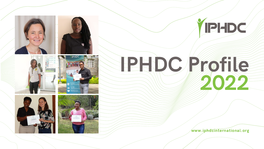

www.iphdcinternational.org















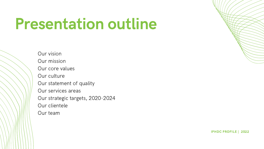## Presentation outline

Our vision Our mission Our core values Our culture Our statement of quality Our services areas Our strategic targets, 2020-2024 Our clientele Our team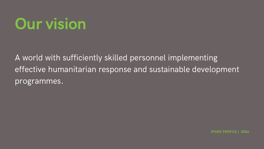## Our vision

A world with sufficiently skilled personnel implementing effective humanitarian response and sustainable development programmes.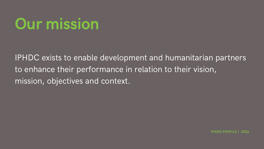## Our mission

IPHDC exists to enable development and humanitarian partners to enhance their performance in relation to their vision, mission, objectives and context.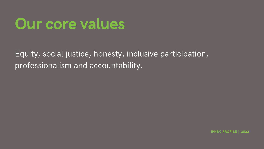### Our core values

Equity, social justice, honesty, inclusive participation, professionalism and accountability.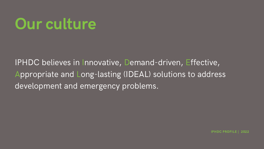## Our culture

IPHDC believes in Innovative, Demand-driven, Effective, Appropriate and Long-lasting (IDEAL) solutions to address development and emergency problems.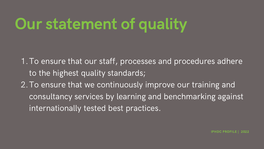## Our statement of quality

1. To ensure that our staff, processes and procedures adhere to the highest quality standards; 2. To ensure that we continuously improve our training and consultancy services by learning and benchmarking against internationally tested best practices.

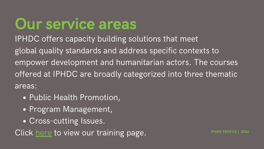## Our service areas

- Public Health Promotion,
- Program Management,
- Cross-cutting Issues.

Click [here](https://www.iphdcinternational.org/training-services/) to view our training page.

IPHDC offers capacity building solutions that meet global quality standards and address specific contexts to empower development and humanitarian actors. The courses offered at IPHDC are broadly categorized into three thematic areas: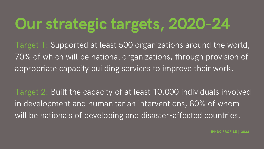# Our strategic targets, 2020-24

Target 1: Supported at least 500 organizations around the world, 70% of which will be national organizations, through provision of appropriate capacity building services to improve their work.

Target 2: Built the capacity of at least 10,000 individuals involved in development and humanitarian interventions, 80% of whom will be nationals of developing and disaster-affected countries.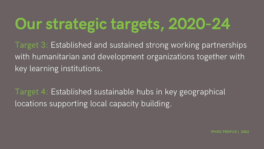# Our strategic targets, 2020-24

Target 3: Established and sustained strong working partnerships with humanitarian and development organizations together with key learning institutions.

Target 4: Established sustainable hubs in key geographical locations supporting local capacity building.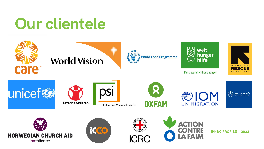# Our clientele











For a world without hunger







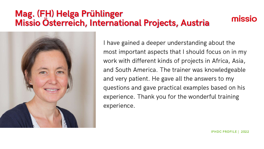I have gained a deeper understanding about the most important aspects that I should focus on in my work with different kinds of projects in Africa, Asia, and South America. The trainer was knowledgeable and very patient. He gave all the answers to my questions and gave practical examples based on his experience. Thank you for the wonderful training experience.





### Mag. (FH) Helga Prühlinger Missio Österreich, International Projects, Austria

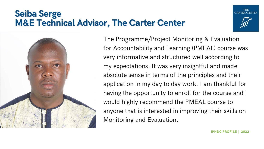The Programme/Project Monitoring & Evaluation for Accountability and Learning (PMEAL) course was very informative and structured well according to my expectations. It was very insightful and made absolute sense in terms of the principles and their application in my day to day work. I am thankful for having the opportunity to enroll for the course and I would highly recommend the PMEAL course to anyone that is interested in improving their skills on Monitoring and Evaluation.



### Seiba Serge M&E Technical Advisor, The Carter Center

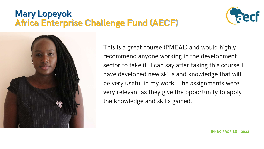This is a great course (PMEAL) and would highly recommend anyone working in the development sector to take it. I can say after taking this course I have developed new skills and knowledge that will be very useful in my work. The assignments were very relevant as they give the opportunity to apply the knowledge and skills gained.





### Mary Lopeyok Africa Enterprise Challenge Fund (AECF)

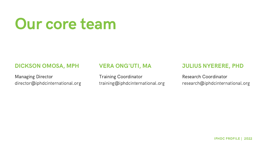## Our core team

### DICKSON OMOSA, MPH

Managing Director director@iphdcinternational.org

### VERA ONG'UTI, MA

Training Coordinator training@iphdcinternational.org

### JULIUS NYERERE, PHD

### Research Coordinator research@iphdcinternational.org